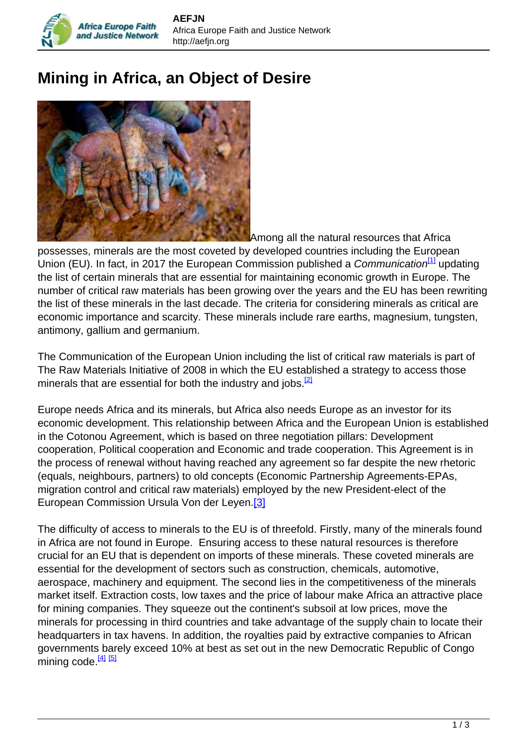## **Mining in Africa, an Object of Desire**



Africa Europe Faith

Among all the natural resources that Africa

possesses, minerals are the most coveted by developed countries including the European Union (EU). In fact, in 2017 the European Commission published a *Communication*<sup>[1]</sup> updating the list of certain minerals that are essential for maintaining economic growth in Europe. The number of critical raw materials has been growing over the years and the EU has been rewriting the list of these minerals in the last decade. The criteria for considering minerals as critical are economic importance and scarcity. These minerals include rare earths, magnesium, tungsten, antimony, gallium and germanium.

The Communication of the European Union including the list of critical raw materials is part of The Raw Materials Initiative of 2008 in which the EU established a strategy to access those minerals that are essential for both the industry and jobs. $^{[2]}$ 

Europe needs Africa and its minerals, but Africa also needs Europe as an investor for its economic development. This relationship between Africa and the European Union is established in the Cotonou Agreement, which is based on three negotiation pillars: Development cooperation, Political cooperation and Economic and trade cooperation. This Agreement is in the process of renewal without having reached any agreement so far despite the new rhetoric (equals, neighbours, partners) to old concepts (Economic Partnership Agreements-EPAs, migration control and critical raw materials) employed by the new President-elect of the European Commission Ursula Von der Leyen.[3]

The difficulty of access to minerals to the EU is of threefold. Firstly, many of the minerals found in Africa are not found in Europe. Ensuring access to these natural resources is therefore crucial for an EU that is dependent on imports of these minerals. These coveted minerals are essential for the development of sectors such as construction, chemicals, automotive, aerospace, machinery and equipment. The second lies in the competitiveness of the minerals market itself. Extraction costs, low taxes and the price of labour make Africa an attractive place for mining companies. They squeeze out the continent's subsoil at low prices, move the minerals for processing in third countries and take advantage of the supply chain to locate their headquarters in tax havens. In addition, the royalties paid by extractive companies to African governments barely exceed 10% at best as set out in the new Democratic Republic of Congo  $min$ nining code.  $\frac{[4] [5]}{[5]}$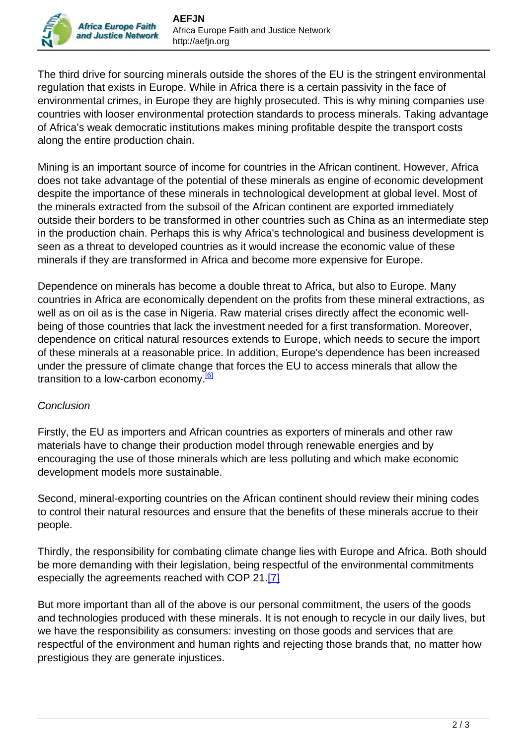The third drive for sourcing minerals outside the shores of the EU is the stringent environmental regulation that exists in Europe. While in Africa there is a certain passivity in the face of environmental crimes, in Europe they are highly prosecuted. This is why mining companies use countries with looser environmental protection standards to process minerals. Taking advantage of Africa's weak democratic institutions makes mining profitable despite the transport costs along the entire production chain.

Mining is an important source of income for countries in the African continent. However, Africa does not take advantage of the potential of these minerals as engine of economic development despite the importance of these minerals in technological development at global level. Most of the minerals extracted from the subsoil of the African continent are exported immediately outside their borders to be transformed in other countries such as China as an intermediate step in the production chain. Perhaps this is why Africa's technological and business development is seen as a threat to developed countries as it would increase the economic value of these minerals if they are transformed in Africa and become more expensive for Europe.

Dependence on minerals has become a double threat to Africa, but also to Europe. Many countries in Africa are economically dependent on the profits from these mineral extractions, as well as on oil as is the case in Nigeria. Raw material crises directly affect the economic wellbeing of those countries that lack the investment needed for a first transformation. Moreover, dependence on critical natural resources extends to Europe, which needs to secure the import of these minerals at a reasonable price. In addition, Europe's dependence has been increased under the pressure of climate change that forces the EU to access minerals that allow the transition to a low-carbon economy.<sup>[6]</sup>

## **Conclusion**

Firstly, the EU as importers and African countries as exporters of minerals and other raw materials have to change their production model through renewable energies and by encouraging the use of those minerals which are less polluting and which make economic development models more sustainable.

Second, mineral-exporting countries on the African continent should review their mining codes to control their natural resources and ensure that the benefits of these minerals accrue to their people.

Thirdly, the responsibility for combating climate change lies with Europe and Africa. Both should be more demanding with their legislation, being respectful of the environmental commitments especially the agreements reached with COP 21.[7]

But more important than all of the above is our personal commitment, the users of the goods and technologies produced with these minerals. It is not enough to recycle in our daily lives, but we have the responsibility as consumers: investing on those goods and services that are respectful of the environment and human rights and rejecting those brands that, no matter how prestigious they are generate injustices.